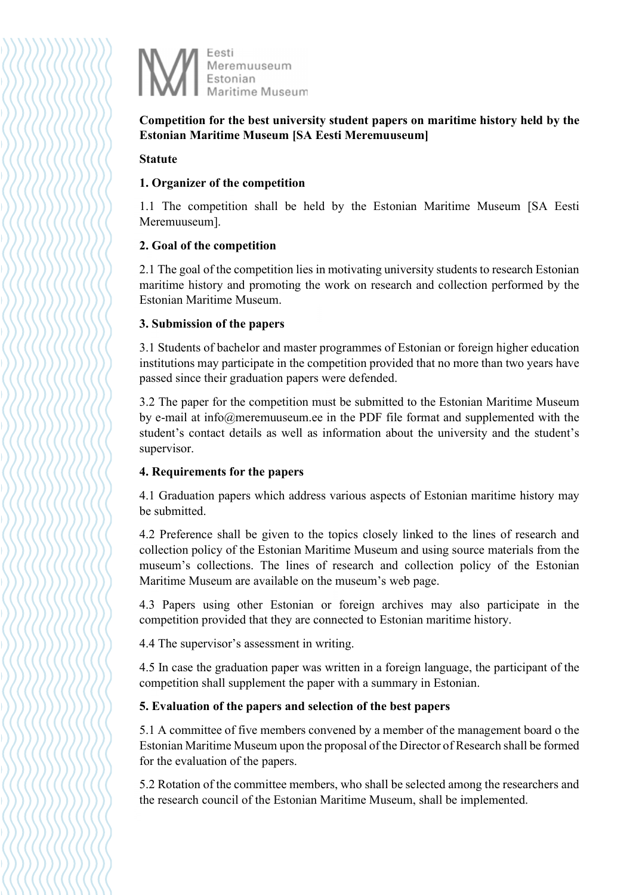

Competition for the best university student papers on maritime history held by the Estonian Maritime Museum [SA Eesti Meremuuseum]

### Statute

## 1. Organizer of the competition

1.1 The competition shall be held by the Estonian Maritime Museum [SA Eesti Meremuuseum].

## 2. Goal of the competition

2.1 The goal of the competition lies in motivating university students to research Estonian maritime history and promoting the work on research and collection performed by the Estonian Maritime Museum.

### 3. Submission of the papers

3.1 Students of bachelor and master programmes of Estonian or foreign higher education institutions may participate in the competition provided that no more than two years have passed since their graduation papers were defended.

3.2 The paper for the competition must be submitted to the Estonian Maritime Museum by e-mail at info@meremuuseum.ee in the PDF file format and supplemented with the student's contact details as well as information about the university and the student's supervisor.

## 4. Requirements for the papers

4.1 Graduation papers which address various aspects of Estonian maritime history may be submitted.

4.2 Preference shall be given to the topics closely linked to the lines of research and collection policy of the Estonian Maritime Museum and using source materials from the museum's collections. The lines of research and collection policy of the Estonian Maritime Museum are available on the museum's web page.

4.3 Papers using other Estonian or foreign archives may also participate in the competition provided that they are connected to Estonian maritime history.

4.4 The supervisor's assessment in writing.

4.5 In case the graduation paper was written in a foreign language, the participant of the competition shall supplement the paper with a summary in Estonian.

## 5. Evaluation of the papers and selection of the best papers

5.1 A committee of five members convened by a member of the management board o the Estonian Maritime Museum upon the proposal of the Director of Research shall be formed for the evaluation of the papers.

5.2 Rotation of the committee members, who shall be selected among the researchers and the research council of the Estonian Maritime Museum, shall be implemented.